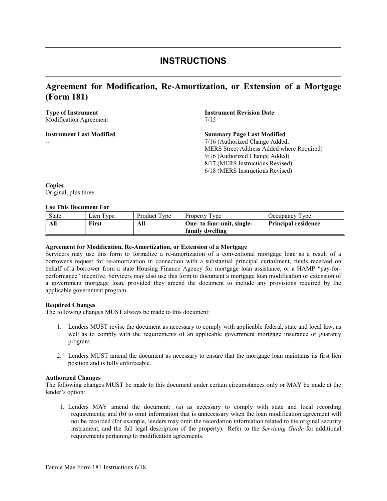# **INSTRUCTIONS**

# **Agreement for Modification, Re-Amortization, or Extension of a Mortgage (Form 181)**

# Modification Agreement 7/15

**Instrument Last Modified** 

--

**Type of Instrument Instrument Revision Date** 

## **Summary Page Last Modified** 7/16 (Authorized Change Added; MERS Street Address Added where Required) 9/16 (Authorized Change Added) 8/17 (MERS Instructions Revised)

6/18 (MERS Instructions Revised)

**Copies** Original, plus three.

### **Use This Document For**

| State | $\mathsf{Lien}\mathsf{Type}$ | Product Type | Property Type              | Occupancy Type             |
|-------|------------------------------|--------------|----------------------------|----------------------------|
| All   | <b>First</b>                 | All          | One- to four-unit, single- | <b>Principal residence</b> |
|       |                              |              | family dwelling            |                            |

#### **Agreement for Modification, Re-Amortization, or Extension of a Mortgage**

Servicers may use this form to formalize a re-amortization of a conventional mortgage loan as a result of a borrower's request for re-amortization in connection with a substantial principal curtailment, funds received on behalf of a borrower from a state Housing Finance Agency for mortgage loan assistance, or a HAMP "pay-forperformance" incentive. Servicers may also use this form to document a mortgage loan modification or extension of a government mortgage loan, provided they amend the document to include any provisions required by the applicable government program.

#### **Required Changes**

The following changes MUST always be made to this document:

- 1. Lenders MUST revise the document as necessary to comply with applicable federal, state and local law, as well as to comply with the requirements of an applicable government mortgage insurance or guaranty program.
- 2. Lenders MUST amend the document as necessary to ensure that the mortgage loan maintains its first lien position and is fully enforceable.

#### **Authorized Changes**

The following changes MUST be made to this document under certain circumstances only or MAY be made at the lender's option:

1. Lenders MAY amend the document: (a) as necessary to comply with state and local recording requirements; and (b) to omit information that is unnecessary when the loan modification agreement will not be recorded (for example, lenders may omit the recordation information related to the original security instrument, and the full legal description of the property). Refer to the *Servicing Guide* for additional requirements pertaining to modification agreements.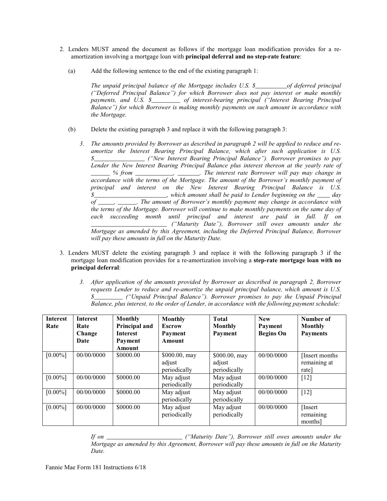- 2. Lenders MUST amend the document as follows if the mortgage loan modification provides for a reamortization involving a mortgage loan with **principal deferral and no step-rate feature**:
	- (a) Add the following sentence to the end of the existing paragraph 1:

*The unpaid principal balance of the Mortgage includes U.S. \$\_\_\_\_\_\_\_\_\_\_of deferred principal ("Deferred Principal Balance") for which Borrower does not pay interest or make monthly payments, and U.S. \$\_\_\_\_\_\_\_\_\_ of interest-bearing principal ("Interest Bearing Principal Balance") for which Borrower is making monthly payments on such amount in accordance with the Mortgage.* 

- (b) Delete the existing paragraph 3 and replace it with the following paragraph 3:
	- *3. The amounts provided by Borrower as described in paragraph 2 will be applied to reduce and reamortize the Interest Bearing Principal Balance, which after such application is U.S. \$\_\_\_\_\_\_\_\_\_\_\_\_\_\_\_\_ ("New Interest Bearing Principal Balance"). Borrower promises to pay Lender the New Interest Bearing Principal Balance plus interest thereon at the yearly rate of \_\_\_\_\_\_ % from \_\_\_\_\_\_\_\_\_\_\_\_, \_\_\_\_\_\_\_. The interest rate Borrower will pay may change in accordance with the terms of the Mortgage. The amount of the Borrower's monthly payment of principal and interest on the New Interest Bearing Principal Balance is U.S. \$\_\_\_\_\_\_\_\_\_\_\_\_\_\_\_\_\_\_\_\_\_\_\_, which amount shall be paid to Lender beginning on the \_\_\_\_ day of \_\_\_\_\_, \_\_\_\_\_\_. The amount of Borrower's monthly payment may change in accordance with the terms of the Mortgage. Borrower will continue to make monthly payments on the same day of each succeeding month until principal and interest are paid in full. If on \_\_\_\_\_\_\_\_\_\_\_\_\_\_\_\_\_\_\_\_\_\_\_\_ ("Maturity Date"), Borrower still owes amounts under the Mortgage as amended by this Agreement, including the Deferred Principal Balance, Borrower will pay these amounts in full on the Maturity Date.*
- 3. Lenders MUST delete the existing paragraph 3 and replace it with the following paragraph 3 if the mortgage loan modification provides for a re-amortization involving a **step-rate mortgage loan with no principal deferral**:
	- *3. After application of the amounts provided by Borrower as described in paragraph 2, Borrower requests Lender to reduce and re-amortize the unpaid principal balance, which amount is U.S. \$\_\_\_\_\_\_\_\_\_ ("Unpaid Principal Balance"). Borrower promises to pay the Unpaid Principal Balance, plus interest, to the order of Lender, in accordance with the following payment schedule:*

| <b>Interest</b><br>Rate | <b>Interest</b><br>Rate<br>Change<br>Date | Monthly<br>Principal and<br><b>Interest</b><br>Payment<br>Amount | Monthly<br><b>Escrow</b><br>Payment<br><b>Amount</b> | <b>Total</b><br><b>Monthly</b><br>Payment | <b>New</b><br>Payment<br><b>Begins On</b> | Number of<br>Monthly<br><b>Payments</b> |
|-------------------------|-------------------------------------------|------------------------------------------------------------------|------------------------------------------------------|-------------------------------------------|-------------------------------------------|-----------------------------------------|
| $[0.00\%]$              | 00/00/0000                                | \$0000.00                                                        | \$000.00, may<br>adjust<br>periodically              | \$000.00, may<br>adjust<br>periodically   | 00/00/0000                                | [Insert months]<br>remaining at<br>rate |
| $[0.00\%]$              | 00/00/0000                                | \$0000.00                                                        | May adjust<br>periodically                           | May adjust<br>periodically                | 00/00/0000                                | $[12]$                                  |
| $[0.00\%]$              | 00/00/0000                                | \$0000.00                                                        | May adjust<br>periodically                           | May adjust<br>periodically                | 00/00/0000                                | $[12]$                                  |
| $[0.00\%]$              | 00/00/0000                                | \$0000.00                                                        | May adjust<br>periodically                           | May adjust<br>periodically                | 00/00/0000                                | [Insert]<br>remaining<br>months]        |

*If on \_\_\_\_\_\_\_\_\_\_\_\_\_\_\_\_\_\_\_\_\_\_\_\_ ("Maturity Date"), Borrower still owes amounts under the Mortgage as amended by this Agreement, Borrower will pay these amounts in full on the Maturity Date.*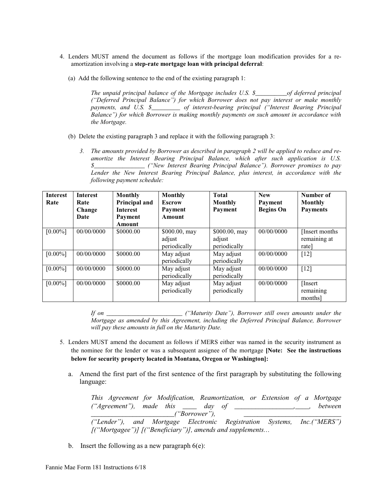- 4. Lenders MUST amend the document as follows if the mortgage loan modification provides for a reamortization involving a **step-rate mortgage loan with principal deferral**:
	- (a) Add the following sentence to the end of the existing paragraph 1:

*The unpaid principal balance of the Mortgage includes U.S. \$\_\_\_\_\_\_\_\_\_\_of deferred principal ("Deferred Principal Balance") for which Borrower does not pay interest or make monthly payments, and U.S. \$\_\_\_\_\_\_\_\_\_ of interest-bearing principal ("Interest Bearing Principal Balance") for which Borrower is making monthly payments on such amount in accordance with the Mortgage.* 

- (b) Delete the existing paragraph 3 and replace it with the following paragraph 3:
	- *3. The amounts provided by Borrower as described in paragraph 2 will be applied to reduce and reamortize the Interest Bearing Principal Balance, which after such application is U.S. \$\_\_\_\_\_\_\_\_\_\_\_\_\_\_\_\_ ("New Interest Bearing Principal Balance"). Borrower promises to pay Lender the New Interest Bearing Principal Balance, plus interest, in accordance with the following payment schedule:*

| <b>Interest</b><br>Rate | <b>Interest</b><br>Rate<br>Change<br>Date | Monthly<br>Principal and<br><b>Interest</b><br>Payment<br>Amount | <b>Monthly</b><br><b>Escrow</b><br>Payment<br>Amount | <b>Total</b><br>Monthly<br>Payment       | <b>New</b><br>Payment<br><b>Begins On</b> | Number of<br><b>Monthly</b><br><b>Payments</b> |
|-------------------------|-------------------------------------------|------------------------------------------------------------------|------------------------------------------------------|------------------------------------------|-------------------------------------------|------------------------------------------------|
| $[0.00\%]$              | 00/00/0000                                | \$0000.00                                                        | \$000.00, may<br>adjust<br>periodically              | $$000.00,$ may<br>adjust<br>periodically | 00/00/0000                                | [Insert months]<br>remaining at<br>rate]       |
| $[0.00\%]$              | 00/00/0000                                | \$0000.00                                                        | May adjust<br>periodically                           | May adjust<br>periodically               | 00/00/0000                                | $[12]$                                         |
| $[0.00\%]$              | 00/00/0000                                | \$0000.00                                                        | May adjust<br>periodically                           | May adjust<br>periodically               | 00/00/0000                                | $\lceil 12 \rceil$                             |
| $[0.00\%]$              | 00/00/0000                                | \$0000.00                                                        | May adjust<br>periodically                           | May adjust<br>periodically               | 00/00/0000                                | [Insert]<br>remaining<br>months                |

*If on \_\_\_\_\_\_\_\_\_\_\_\_\_\_\_\_\_\_\_\_\_\_\_\_ ("Maturity Date"), Borrower still owes amounts under the Mortgage as amended by this Agreement, including the Deferred Principal Balance, Borrower will pay these amounts in full on the Maturity Date.*

- 5. Lenders MUST amend the document as follows if MERS either was named in the security instrument as the nominee for the lender or was a subsequent assignee of the mortgage **[Note: See the instructions below for security property located in Montana, Oregon or Washington]:**
	- a. Amend the first part of the first sentence of the first paragraph by substituting the following language:

*This Agreement for Modification, Reamortization, or Extension of a Mortgage ("Agreement"), made this \_\_\_\_ day of \_\_\_\_\_\_\_\_\_\_\_\_\_\_\_\_\_,\_\_\_\_, between \_\_\_\_\_\_\_\_\_\_\_\_\_\_\_\_\_\_\_\_\_\_\_\_("Borrower"), \_\_\_\_\_\_\_\_\_\_\_\_\_\_\_\_\_\_\_\_\_\_\_\_\_\_\_\_ ("Lender"), and Mortgage Electronic Registration Systems, Inc.("MERS") [("Mortgagee")] [("Beneficiary")], amends and supplements…*

b. Insert the following as a new paragraph  $6(e)$ :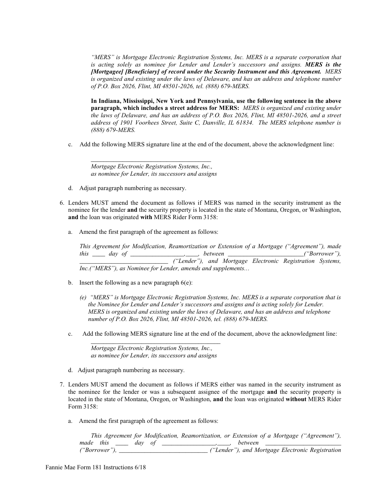*"MERS" is Mortgage Electronic Registration Systems, Inc. MERS is a separate corporation that*  is acting solely as nominee for Lender and Lender's successors and assigns. **MERS is the** *[Mortgagee] [Beneficiary] of record under the Security Instrument and this Agreement. MERS is organized and existing under the laws of Delaware, and has an address and telephone number of P.O. Box 2026, Flint, MI 48501-2026, tel. (888) 679-MERS.*

**In Indiana, Mississippi, New York and Pennsylvania, use the following sentence in the above paragraph, which includes a street address for MERS:** *MERS is organized and existing under the laws of Delaware, and has an address of P.O. Box 2026, Flint, MI 48501-2026, and a street address of 1901 Voorhees Street, Suite C, Danville, IL 61834. The MERS telephone number is (888) 679-MERS.*

c. Add the following MERS signature line at the end of the document, above the acknowledgment line:

*Mortgage Electronic Registration Systems, Inc., as nominee for Lender, its successors and assigns*

*\_\_\_\_\_\_\_\_\_\_\_\_\_\_\_\_\_\_\_\_\_\_\_\_\_\_\_\_\_\_\_\_\_\_\_\_\_\_*

- d. Adjust paragraph numbering as necessary.
- 6. Lenders MUST amend the document as follows if MERS was named in the security instrument as the nominee for the lender **and** the security property is located in the state of Montana, Oregon, or Washington, **and** the loan was originated **with** MERS Rider Form 3158:
	- a. Amend the first paragraph of the agreement as follows:

*This Agreement for Modification, Reamortization or Extension of a Mortgage ("Agreement"), made this \_\_\_\_ day of \_\_\_\_\_\_\_\_\_\_\_\_\_\_\_\_\_,\_\_\_\_, between \_\_\_\_\_\_\_\_\_\_\_\_\_\_\_\_\_\_\_\_\_\_\_\_("Borrower"), \_\_\_\_\_\_\_\_\_\_\_\_\_\_\_\_\_\_\_\_\_\_\_\_\_\_\_\_ ("Lender"), and Mortgage Electronic Registration Systems, Inc.("MERS"), as Nominee for Lender, amends and supplements…*

- b. Insert the following as a new paragraph  $6(e)$ :
	- *(e) "MERS" is Mortgage Electronic Registration Systems, Inc. MERS is a separate corporation that is the Nominee for Lender and Lender's successors and assigns and is acting solely for Lender. MERS is organized and existing under the laws of Delaware, and has an address and telephone number of P.O. Box 2026, Flint, MI 48501-2026, tel. (888) 679-MERS.*
- c. Add the following MERS signature line at the end of the document, above the acknowledgment line:

 *Mortgage Electronic Registration Systems, Inc., as nominee for Lender, its successors and assigns \_\_\_\_\_\_\_\_\_\_\_\_\_\_\_\_\_\_\_\_\_\_\_\_\_\_\_\_\_\_\_\_\_\_\_\_\_\_\_\_\_*

- d. Adjust paragraph numbering as necessary.
- 7. Lenders MUST amend the document as follows if MERS either was named in the security instrument as the nominee for the lender or was a subsequent assignee of the mortgage **and** the security property is located in the state of Montana, Oregon, or Washington, **and** the loan was originated **without** MERS Rider Form 3158:
	- a. Amend the first paragraph of the agreement as follows:

|               |        | This Agreement for Modification, Reamortization, or Extension of a Mortgage ("Agreement"), |
|---------------|--------|--------------------------------------------------------------------------------------------|
| made this     | dav ot | between                                                                                    |
| ("Borrower"). |        | ("Lender"), and Mortgage Electronic Registration                                           |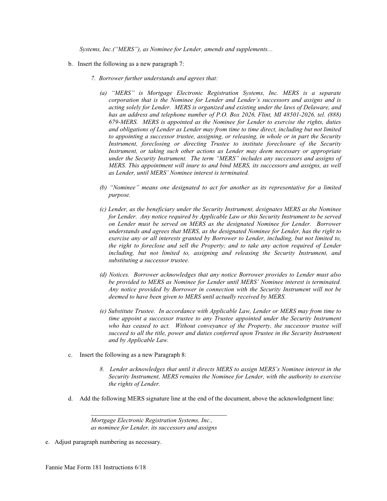*Systems, Inc.("MERS"), as Nominee for Lender, amends and supplements…*

- b. Insert the following as a new paragraph 7:
	- *7. Borrower further understands and agrees that:*
		- *(a) "MERS" is Mortgage Electronic Registration Systems, Inc. MERS is a separate corporation that is the Nominee for Lender and Lender's successors and assigns and is acting solely for Lender. MERS is organized and existing under the laws of Delaware, and has an address and telephone number of P.O. Box 2026, Flint, MI 48501-2026, tel. (888) 679-MERS. MERS is appointed as the Nominee for Lender to exercise the rights, duties and obligations of Lender as Lender may from time to time direct, including but not limited to appointing a successor trustee, assigning, or releasing, in whole or in part the Security Instrument, foreclosing or directing Trustee to institute foreclosure of the Security Instrument, or taking such other actions as Lender may deem necessary or appropriate under the Security Instrument. The term "MERS" includes any successors and assigns of MERS. This appointment will inure to and bind MERS, its successors and assigns, as well as Lender, until MERS' Nominee interest is terminated.*
		- *(b) "Nominee" means one designated to act for another as its representative for a limited purpose.*
		- *(c) Lender, as the beneficiary under the Security Instrument, designates MERS as the Nominee for Lender. Any notice required by Applicable Law or this Security Instrument to be served on Lender must be served on MERS as the designated Nominee for Lender. Borrower understands and agrees that MERS, as the designated Nominee for Lender, has the right to exercise any or all interests granted by Borrower to Lender, including, but not limited to, the right to foreclose and sell the Property; and to take any action required of Lender including, but not limited to, assigning and releasing the Security Instrument, and substituting a successor trustee.*
		- *(d) Notices. Borrower acknowledges that any notice Borrower provides to Lender must also be provided to MERS as Nominee for Lender until MERS' Nominee interest is terminated. Any notice provided by Borrower in connection with the Security Instrument will not be deemed to have been given to MERS until actually received by MERS.*
		- *(e) Substitute Trustee. In accordance with Applicable Law, Lender or MERS may from time to time appoint a successor trustee to any Trustee appointed under the Security Instrument* who has ceased to act. Without conveyance of the Property, the successor trustee will *succeed to all the title, power and duties conferred upon Trustee in the Security Instrument and by Applicable Law.*
- c. Insert the following as a new Paragraph 8:
	- *8. Lender acknowledges that until it directs MERS to assign MERS's Nominee interest in the Security Instrument, MERS remains the Nominee for Lender, with the authority to exercise the rights of Lender.*
- d. Add the following MERS signature line at the end of the document, above the acknowledgment line:

*\_\_\_\_\_\_\_\_\_\_\_\_\_\_\_\_\_\_\_\_\_\_\_\_\_\_\_\_\_\_\_\_\_\_\_\_\_\_\_\_\_\_\_*

e. Adjust paragraph numbering as necessary.

*Mortgage Electronic Registration Systems, Inc., as nominee for Lender, its successors and assigns*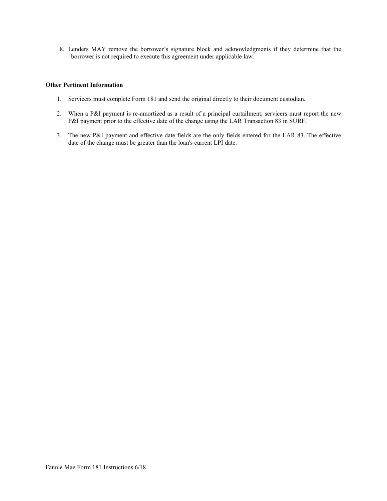8. Lenders MAY remove the borrower's signature block and acknowledgments if they determine that the borrower is not required to execute this agreement under applicable law.

## **Other Pertinent Information**

- 1. Servicers must complete Form 181 and send the original directly to their document custodian.
- 2. When a P&I payment is re-amortized as a result of a principal curtailment, servicers must report the new P&I payment prior to the effective date of the change using the LAR Transaction 83 in SURF.
- 3. The new P&I payment and effective date fields are the only fields entered for the LAR 83. The effective date of the change must be greater than the loan's current LPI date.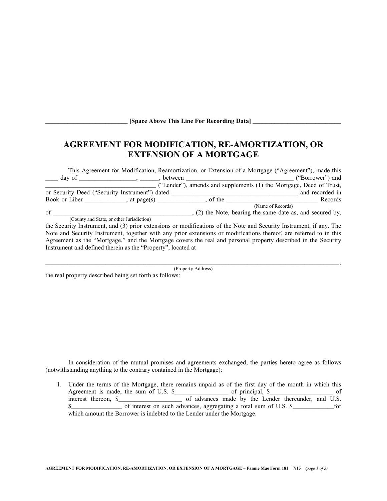| [Space Above This Line For Recording Data] |  |
|--------------------------------------------|--|
|--------------------------------------------|--|

# **AGREEMENT FOR MODIFICATION, RE-AMORTIZATION, OR EXTENSION OF A MORTGAGE**

|                                                                                                                     | This Agreement for Modification, Reamortization, or Extension of a Mortgage ("Agreement"), made this |
|---------------------------------------------------------------------------------------------------------------------|------------------------------------------------------------------------------------------------------|
|                                                                                                                     | ("Borrower") and                                                                                     |
|                                                                                                                     | ("Lender"), amends and supplements (1) the Mortgage, Deed of Trust,                                  |
| or Security Deed ("Security Instrument") dated _____                                                                | and recorded in                                                                                      |
|                                                                                                                     | Records                                                                                              |
|                                                                                                                     | (Name of Records)                                                                                    |
| $\sigma$                                                                                                            | ., (2) the Note, bearing the same date as, and secured by,                                           |
| (County and State, or other Jurisdiction)                                                                           |                                                                                                      |
| the Security Instrument, and (3) prior extensions or modifications of the Note and Security Instrument, if any. The |                                                                                                      |

Note and Security Instrument, together with any prior extensions or modifications thereof, are referred to in this Agreement as the "Mortgage," and the Mortgage covers the real and personal property described in the Security Instrument and defined therein as the "Property", located at

(Property Address)

 $\blacksquare$ 

the real property described being set forth as follows:

 $\overline{\phantom{a}}$ 

\_\_\_\_\_\_\_\_\_\_\_\_\_\_\_\_\_\_\_\_\_\_\_\_\_\_

In consideration of the mutual promises and agreements exchanged, the parties hereto agree as follows (notwithstanding anything to the contrary contained in the Mortgage):

1. Under the terms of the Mortgage, there remains unpaid as of the first day of the month in which this Agreement is made, the sum of U.S. \$\_\_\_\_\_\_\_\_\_\_\_\_\_\_\_\_\_\_\_ of principal, \$\_\_\_\_\_\_\_\_\_\_\_\_\_\_\_\_\_\_\_\_\_\_\_ of interest thereon, \$\_\_\_\_\_\_\_\_\_\_\_\_\_\_\_\_\_\_\_\_ of advances made by the Lender thereunder, and U.S. \$ which amount the Borrower is indebted to the Lender under the Mortgage.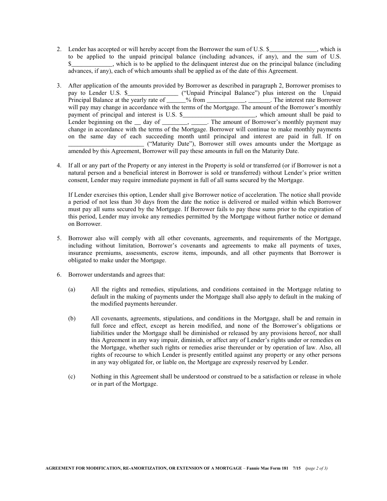- 2. Lender has accepted or will hereby accept from the Borrower the sum of U.S. \$\_\_\_\_\_\_\_\_\_\_\_, which is to be applied to the unpaid principal balance (including advances, if any), and the sum of U.S. \$\_\_\_\_\_\_\_\_\_\_\_\_\_, which is to be applied to the delinquent interest due on the principal balance (including advances, if any), each of which amounts shall be applied as of the date of this Agreement.
- 3. After application of the amounts provided by Borrower as described in paragraph 2, Borrower promises to pay to Lender U.S. \$\_\_\_\_\_\_\_\_\_\_\_\_\_\_\_\_ ("Unpaid Principal Balance") plus interest on the Unpaid Principal Balance at the yearly rate of \_\_\_\_\_\_% from \_\_\_\_\_\_\_\_\_\_\_, \_\_\_\_\_\_\_. The interest rate Borrower will pay may change in accordance with the terms of the Mortgage. The amount of the Borrower's monthly payment of principal and interest is U.S. \$\_\_\_\_\_\_\_\_\_\_\_\_\_\_\_\_\_\_\_\_\_, which amount shall be paid to Lender beginning on the \_\_ day of \_\_\_\_\_\_\_, \_\_\_\_\_. The amount of Borrower's monthly payment may change in accordance with the terms of the Mortgage. Borrower will continue to make monthly payments on the same day of each succeeding month until principal and interest are paid in full. If on \_\_\_\_\_\_\_\_\_\_\_\_\_\_\_\_\_\_\_\_\_\_\_\_ ("Maturity Date"), Borrower still owes amounts under the Mortgage as amended by this Agreement, Borrower will pay these amounts in full on the Maturity Date.
- 4. If all or any part of the Property or any interest in the Property is sold or transferred (or if Borrower is not a natural person and a beneficial interest in Borrower is sold or transferred) without Lender's prior written consent, Lender may require immediate payment in full of all sums secured by the Mortgage.

If Lender exercises this option, Lender shall give Borrower notice of acceleration. The notice shall provide a period of not less than 30 days from the date the notice is delivered or mailed within which Borrower must pay all sums secured by the Mortgage. If Borrower fails to pay these sums prior to the expiration of this period, Lender may invoke any remedies permitted by the Mortgage without further notice or demand on Borrower.

- 5. Borrower also will comply with all other covenants, agreements, and requirements of the Mortgage, including without limitation, Borrower's covenants and agreements to make all payments of taxes, insurance premiums, assessments, escrow items, impounds, and all other payments that Borrower is obligated to make under the Mortgage.
- 6. Borrower understands and agrees that:
	- (a) All the rights and remedies, stipulations, and conditions contained in the Mortgage relating to default in the making of payments under the Mortgage shall also apply to default in the making of the modified payments hereunder.
	- (b) All covenants, agreements, stipulations, and conditions in the Mortgage, shall be and remain in full force and effect, except as herein modified, and none of the Borrower's obligations or liabilities under the Mortgage shall be diminished or released by any provisions hereof, nor shall this Agreement in any way impair, diminish, or affect any of Lender's rights under or remedies on the Mortgage, whether such rights or remedies arise thereunder or by operation of law. Also, all rights of recourse to which Lender is presently entitled against any property or any other persons in any way obligated for, or liable on, the Mortgage are expressly reserved by Lender.
	- (c) Nothing in this Agreement shall be understood or construed to be a satisfaction or release in whole or in part of the Mortgage.